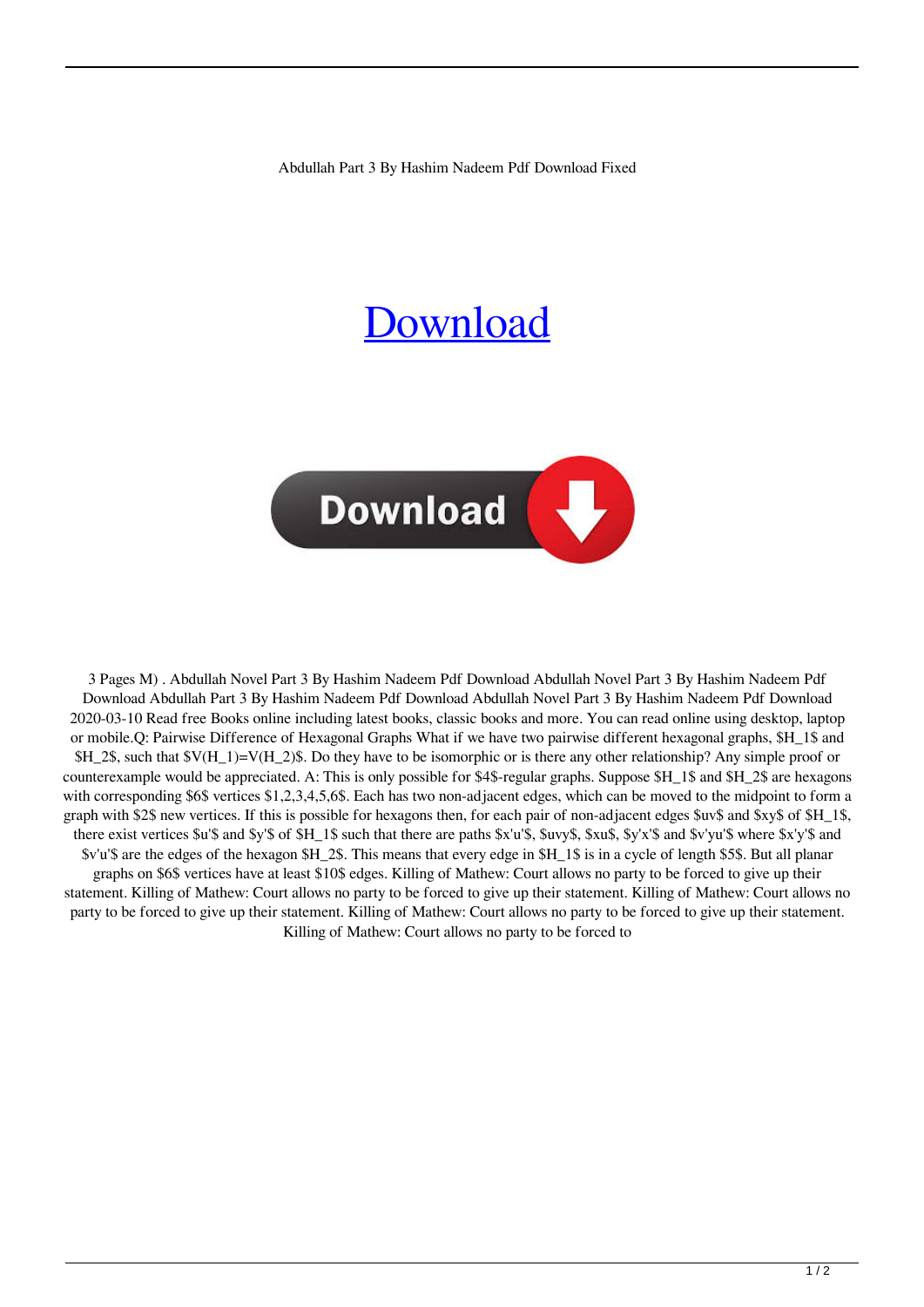Abdullah Part 3 By Hashim Nadeem Pdf Download Fixed

## **[Download](http://evacdir.com/ailment/QWJkdWxsYWggUGFydCAzIEJ5IEhhc2hpbSBOYWRlZW0gUGRmIERvd25sb2FkQWJ/braintree/brooches/edwene/hermetically=ZG93bmxvYWR8TEM3YkdGdWZId3hOalUwTWpreE5URTNmSHd5TlRnM2ZId29UU2tnU0dWeWIydDFJRnRHWVhOMElFZEZUbDA/inefficiencies/compensates/)**



3 Pages M) . Abdullah Novel Part 3 By Hashim Nadeem Pdf Download Abdullah Novel Part 3 By Hashim Nadeem Pdf Download Abdullah Part 3 By Hashim Nadeem Pdf Download Abdullah Novel Part 3 By Hashim Nadeem Pdf Download 2020-03-10 Read free Books online including latest books, classic books and more. You can read online using desktop, laptop or mobile.Q: Pairwise Difference of Hexagonal Graphs What if we have two pairwise different hexagonal graphs, \$H\_1\$ and  $$H_2$$ , such that  $V(H_1)=V(H_2)$$ . Do they have to be isomorphic or is there any other relationship? Any simple proof or counterexample would be appreciated. A: This is only possible for \$4\$-regular graphs. Suppose \$H\_1\$ and \$H\_2\$ are hexagons with corresponding \$6\$ vertices \$1,2,3,4,5,6\$. Each has two non-adjacent edges, which can be moved to the midpoint to form a graph with \$2\$ new vertices. If this is possible for hexagons then, for each pair of non-adjacent edges \$uv\$ and \$xy\$ of \$H\_1\$, there exist vertices \$u'\$ and \$y'\$ of \$H\_1\$ such that there are paths \$x'u'\$, \$uvy\$, \$xu\$, \$y'x'\$ and \$v'yu'\$ where \$x'y'\$ and \$v'u'\$ are the edges of the hexagon \$H\_2\$. This means that every edge in \$H\_1\$ is in a cycle of length \$5\$. But all planar graphs on \$6\$ vertices have at least \$10\$ edges. Killing of Mathew: Court allows no party to be forced to give up their statement. Killing of Mathew: Court allows no party to be forced to give up their statement. Killing of Mathew: Court allows no party to be forced to give up their statement. Killing of Mathew: Court allows no party to be forced to give up their statement. Killing of Mathew: Court allows no party to be forced to